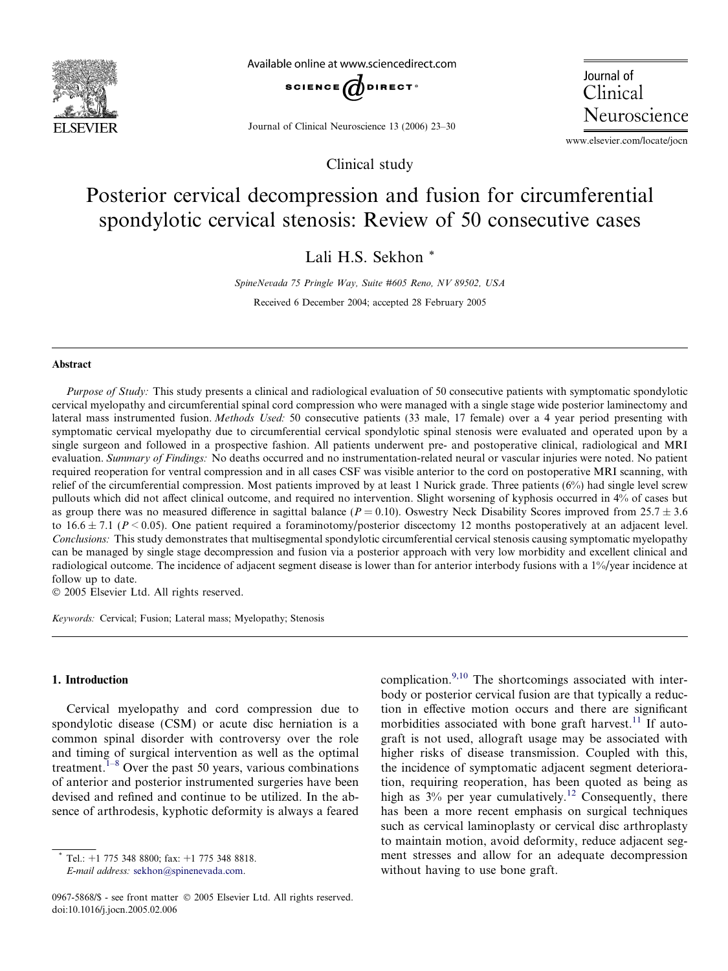

Available online at www.sciencedirect.com



Journal of Clinical Neuroscience 13 (2006) 23–30

Clinical study

Journal of Clinical Neuroscience

www.elsevier.com/locate/jocn

# Posterior cervical decompression and fusion for circumferential spondylotic cervical stenosis: Review of 50 consecutive cases

Lali H.S. Sekhon \*

SpineNevada 75 Pringle Way, Suite #605 Reno, NV 89502, USA Received 6 December 2004; accepted 28 February 2005

#### Abstract

Purpose of Study: This study presents a clinical and radiological evaluation of 50 consecutive patients with symptomatic spondylotic cervical myelopathy and circumferential spinal cord compression who were managed with a single stage wide posterior laminectomy and lateral mass instrumented fusion. Methods Used: 50 consecutive patients (33 male, 17 female) over a 4 year period presenting with symptomatic cervical myelopathy due to circumferential cervical spondylotic spinal stenosis were evaluated and operated upon by a single surgeon and followed in a prospective fashion. All patients underwent pre- and postoperative clinical, radiological and MRI evaluation. Summary of Findings: No deaths occurred and no instrumentation-related neural or vascular injuries were noted. No patient required reoperation for ventral compression and in all cases CSF was visible anterior to the cord on postoperative MRI scanning, with relief of the circumferential compression. Most patients improved by at least 1 Nurick grade. Three patients (6%) had single level screw pullouts which did not affect clinical outcome, and required no intervention. Slight worsening of kyphosis occurred in 4% of cases but as group there was no measured difference in sagittal balance ( $P = 0.10$ ). Oswestry Neck Disability Scores improved from 25.7  $\pm$  3.6 to  $16.6 \pm 7.1$  ( $P \le 0.05$ ). One patient required a foraminotomy/posterior discectomy 12 months postoperatively at an adjacent level. Conclusions: This study demonstrates that multisegmental spondylotic circumferential cervical stenosis causing symptomatic myelopathy can be managed by single stage decompression and fusion via a posterior approach with very low morbidity and excellent clinical and radiological outcome. The incidence of adjacent segment disease is lower than for anterior interbody fusions with a 1%/year incidence at follow up to date.

2005 Elsevier Ltd. All rights reserved.

Keywords: Cervical; Fusion; Lateral mass; Myelopathy; Stenosis

### 1. Introduction

Cervical myelopathy and cord compression due to spondylotic disease (CSM) or acute disc herniation is a common spinal disorder with controversy over the role and timing of surgical intervention as well as the optimal treatment.<sup> $1-8$ </sup> Over the past 50 years, various combinations of anterior and posterior instrumented surgeries have been devised and refined and continue to be utilized. In the absence of arthrodesis, kyphotic deformity is always a feared

Tel.:  $+1$  775 348 8800; fax:  $+1$  775 348 8818. E-mail address: [sekhon@spinenevada.com.](mailto:sekhon@spinenevada.com)

complication.<sup>[9,10](#page-6-0)</sup> The shortcomings associated with interbody or posterior cervical fusion are that typically a reduction in effective motion occurs and there are significant morbidities associated with bone graft harvest.<sup>[11](#page-6-0)</sup> If autograft is not used, allograft usage may be associated with higher risks of disease transmission. Coupled with this, the incidence of symptomatic adjacent segment deterioration, requiring reoperation, has been quoted as being as high as  $3\%$  per year cumulatively.<sup>[12](#page-6-0)</sup> Consequently, there has been a more recent emphasis on surgical techniques such as cervical laminoplasty or cervical disc arthroplasty to maintain motion, avoid deformity, reduce adjacent segment stresses and allow for an adequate decompression without having to use bone graft.

<sup>0967-5868/\$ -</sup> see front matter © 2005 Elsevier Ltd. All rights reserved. doi:10.1016/j.jocn.2005.02.006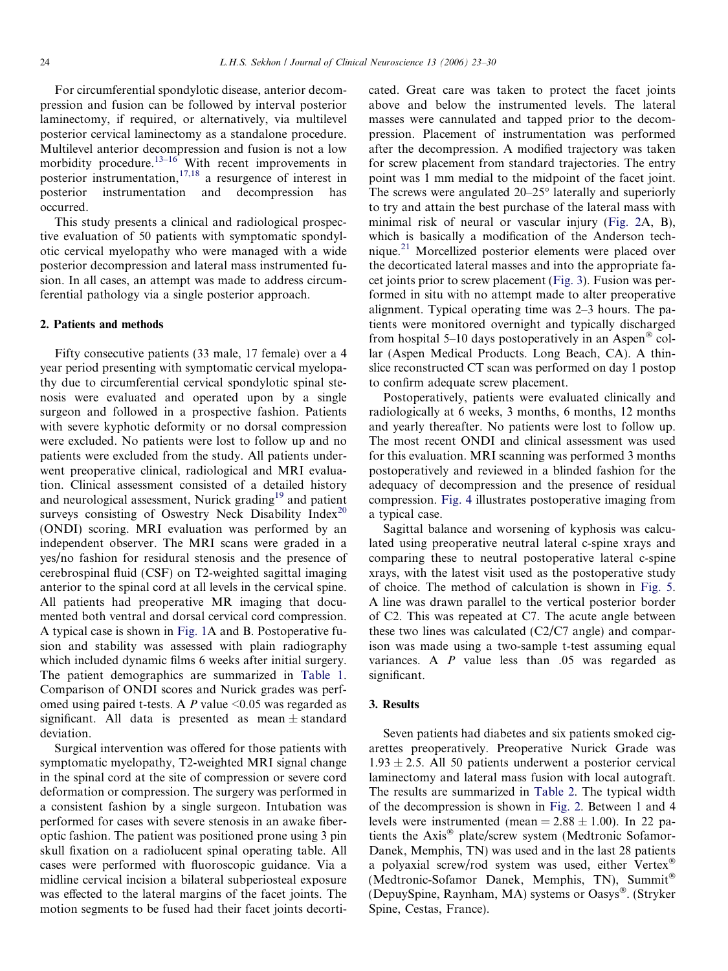For circumferential spondylotic disease, anterior decompression and fusion can be followed by interval posterior laminectomy, if required, or alternatively, via multilevel posterior cervical laminectomy as a standalone procedure. Multilevel anterior decompression and fusion is not a low morbidity procedure.<sup>[13–16](#page-6-0)</sup> With recent improvements in posterior instrumentation,<sup>[17,18](#page-6-0)</sup> a resurgence of interest in posterior instrumentation and decompression has occurred.

This study presents a clinical and radiological prospective evaluation of 50 patients with symptomatic spondylotic cervical myelopathy who were managed with a wide posterior decompression and lateral mass instrumented fusion. In all cases, an attempt was made to address circumferential pathology via a single posterior approach.

#### 2. Patients and methods

Fifty consecutive patients (33 male, 17 female) over a 4 year period presenting with symptomatic cervical myelopathy due to circumferential cervical spondylotic spinal stenosis were evaluated and operated upon by a single surgeon and followed in a prospective fashion. Patients with severe kyphotic deformity or no dorsal compression were excluded. No patients were lost to follow up and no patients were excluded from the study. All patients underwent preoperative clinical, radiological and MRI evaluation. Clinical assessment consisted of a detailed history and neurological assessment, Nurick grading<sup>[19](#page-6-0)</sup> and patient surveys consisting of Oswestry Neck Disability Index<sup>[20](#page-6-0)</sup> (ONDI) scoring. MRI evaluation was performed by an independent observer. The MRI scans were graded in a yes/no fashion for residural stenosis and the presence of cerebrospinal fluid (CSF) on T2-weighted sagittal imaging anterior to the spinal cord at all levels in the cervical spine. All patients had preoperative MR imaging that documented both ventral and dorsal cervical cord compression. A typical case is shown in [Fig. 1A](#page-2-0) and B. Postoperative fusion and stability was assessed with plain radiography which included dynamic films 6 weeks after initial surgery. The patient demographics are summarized in [Table 1](#page-2-0). Comparison of ONDI scores and Nurick grades was perfomed using paired t-tests. A  $P$  value  $\leq 0.05$  was regarded as significant. All data is presented as mean  $\pm$  standard deviation.

Surgical intervention was offered for those patients with symptomatic myelopathy, T2-weighted MRI signal change in the spinal cord at the site of compression or severe cord deformation or compression. The surgery was performed in a consistent fashion by a single surgeon. Intubation was performed for cases with severe stenosis in an awake fiberoptic fashion. The patient was positioned prone using 3 pin skull fixation on a radiolucent spinal operating table. All cases were performed with fluoroscopic guidance. Via a midline cervical incision a bilateral subperiosteal exposure was effected to the lateral margins of the facet joints. The motion segments to be fused had their facet joints decorticated. Great care was taken to protect the facet joints above and below the instrumented levels. The lateral masses were cannulated and tapped prior to the decompression. Placement of instrumentation was performed after the decompression. A modified trajectory was taken for screw placement from standard trajectories. The entry point was 1 mm medial to the midpoint of the facet joint. The screws were angulated  $20-25^\circ$  laterally and superiorly to try and attain the best purchase of the lateral mass with minimal risk of neural or vascular injury [\(Fig. 2A](#page-3-0), B), which is basically a modification of the Anderson technique.[21](#page-6-0) Morcellized posterior elements were placed over the decorticated lateral masses and into the appropriate facet joints prior to screw placement [\(Fig. 3\)](#page-4-0). Fusion was performed in situ with no attempt made to alter preoperative alignment. Typical operating time was 2–3 hours. The patients were monitored overnight and typically discharged from hospital 5–10 days postoperatively in an Aspen<sup>®</sup> collar (Aspen Medical Products. Long Beach, CA). A thinslice reconstructed CT scan was performed on day 1 postop to confirm adequate screw placement.

Postoperatively, patients were evaluated clinically and radiologically at 6 weeks, 3 months, 6 months, 12 months and yearly thereafter. No patients were lost to follow up. The most recent ONDI and clinical assessment was used for this evaluation. MRI scanning was performed 3 months postoperatively and reviewed in a blinded fashion for the adequacy of decompression and the presence of residual compression. [Fig. 4](#page-4-0) illustrates postoperative imaging from a typical case.

Sagittal balance and worsening of kyphosis was calculated using preoperative neutral lateral c-spine xrays and comparing these to neutral postoperative lateral c-spine xrays, with the latest visit used as the postoperative study of choice. The method of calculation is shown in [Fig. 5](#page-5-0). A line was drawn parallel to the vertical posterior border of C2. This was repeated at C7. The acute angle between these two lines was calculated (C2/C7 angle) and comparison was made using a two-sample t-test assuming equal variances. A P value less than .05 was regarded as significant.

### 3. Results

Seven patients had diabetes and six patients smoked cigarettes preoperatively. Preoperative Nurick Grade was  $1.93 \pm 2.5$ . All 50 patients underwent a posterior cervical laminectomy and lateral mass fusion with local autograft. The results are summarized in [Table 2.](#page-5-0) The typical width of the decompression is shown in [Fig. 2.](#page-3-0) Between 1 and 4 levels were instrumented (mean  $= 2.88 \pm 1.00$ ). In 22 patients the Axis<sup>®</sup> plate/screw system (Medtronic Sofamor-Danek, Memphis, TN) was used and in the last 28 patients a polyaxial screw/rod system was used, either Vertex (Medtronic-Sofamor Danek, Memphis, TN), Summit (DepuySpine, Raynham, MA) systems or Oasys®. (Stryker Spine, Cestas, France).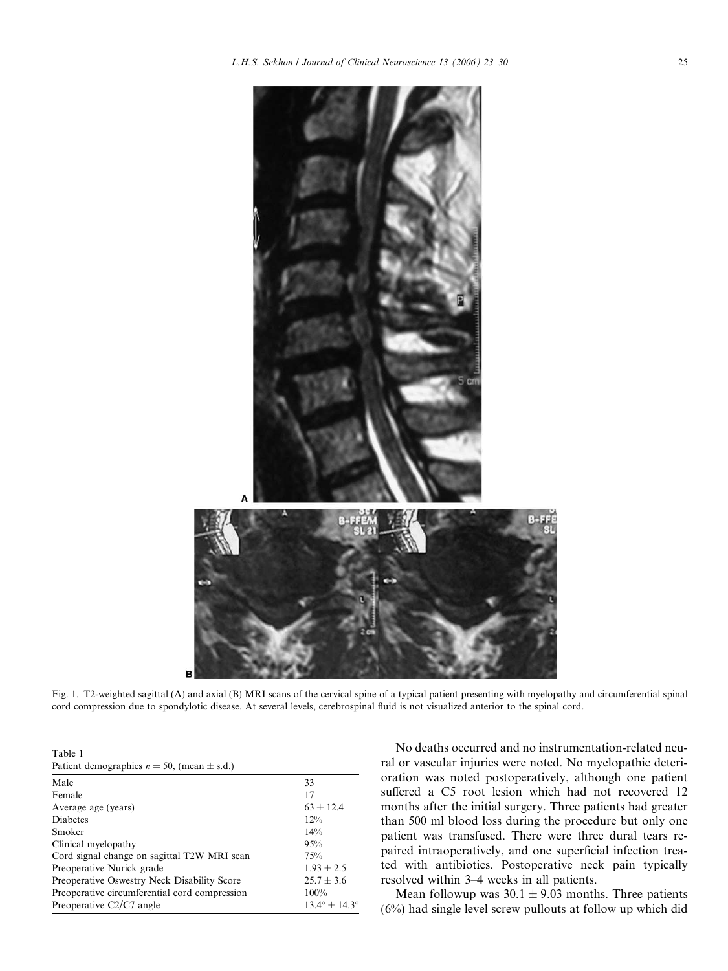<span id="page-2-0"></span>

Fig. 1. T2-weighted sagittal (A) and axial (B) MRI scans of the cervical spine of a typical patient presenting with myelopathy and circumferential spinal cord compression due to spondylotic disease. At several levels, cerebrospinal fluid is not visualized anterior to the spinal cord.

| Table 1                                           |  |
|---------------------------------------------------|--|
| Patient demographics $n = 50$ , (mean $\pm$ s.d.) |  |

| Male                                          | 33                              |
|-----------------------------------------------|---------------------------------|
| Female                                        | 17                              |
| Average age (years)                           | $63 \pm 12.4$                   |
| <b>Diabetes</b>                               | 12%                             |
| Smoker                                        | 14%                             |
| Clinical myelopathy                           | 95%                             |
| Cord signal change on sagittal T2W MRI scan   | 75%                             |
| Preoperative Nurick grade                     | $1.93 \pm 2.5$                  |
| Preoperative Oswestry Neck Disability Score   | $25.7 \pm 3.6$                  |
| Preoperative circumferential cord compression | $100\%$                         |
| Preoperative $C2/C7$ angle                    | $13.4^{\circ} \pm 14.3^{\circ}$ |

No deaths occurred and no instrumentation-related neural or vascular injuries were noted. No myelopathic deterioration was noted postoperatively, although one patient suffered a C5 root lesion which had not recovered 12 months after the initial surgery. Three patients had greater than 500 ml blood loss during the procedure but only one patient was transfused. There were three dural tears repaired intraoperatively, and one superficial infection treated with antibiotics. Postoperative neck pain typically resolved within 3–4 weeks in all patients.

Mean followup was  $30.1 \pm 9.03$  months. Three patients (6%) had single level screw pullouts at follow up which did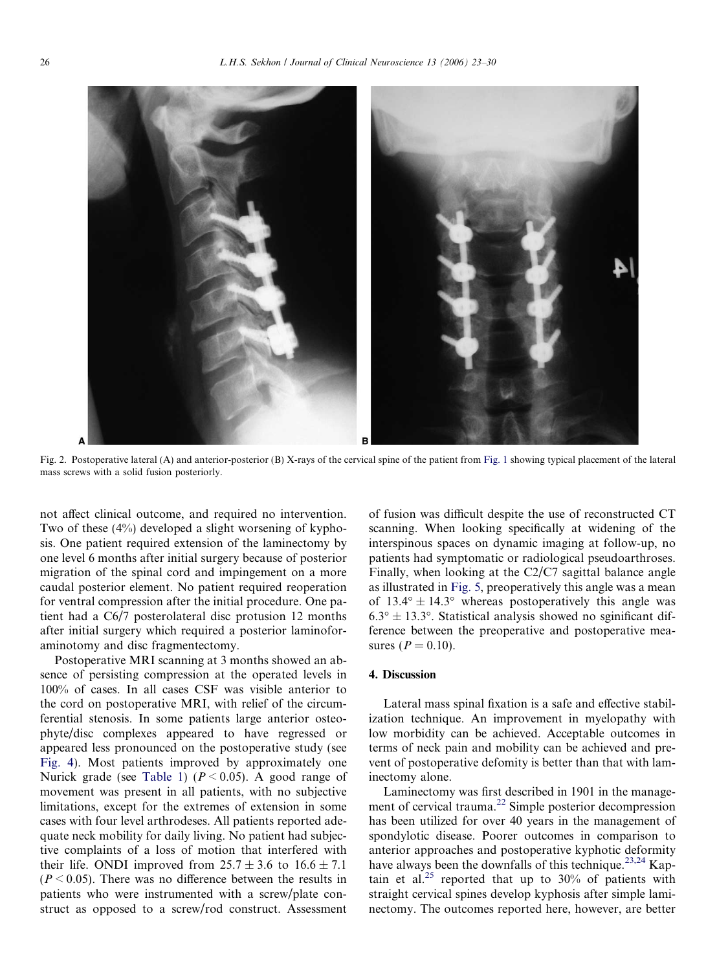<span id="page-3-0"></span>

Fig. 2. Postoperative lateral (A) and anterior-posterior (B) X-rays of the cervical spine of the patient from [Fig. 1](#page-2-0) showing typical placement of the lateral mass screws with a solid fusion posteriorly.

not affect clinical outcome, and required no intervention. Two of these (4%) developed a slight worsening of kyphosis. One patient required extension of the laminectomy by one level 6 months after initial surgery because of posterior migration of the spinal cord and impingement on a more caudal posterior element. No patient required reoperation for ventral compression after the initial procedure. One patient had a C6/7 posterolateral disc protusion 12 months after initial surgery which required a posterior laminoforaminotomy and disc fragmentectomy.

Postoperative MRI scanning at 3 months showed an absence of persisting compression at the operated levels in 100% of cases. In all cases CSF was visible anterior to the cord on postoperative MRI, with relief of the circumferential stenosis. In some patients large anterior osteophyte/disc complexes appeared to have regressed or appeared less pronounced on the postoperative study (see [Fig. 4](#page-4-0)). Most patients improved by approximately one Nurick grade (see [Table 1](#page-2-0)) ( $P < 0.05$ ). A good range of movement was present in all patients, with no subjective limitations, except for the extremes of extension in some cases with four level arthrodeses. All patients reported adequate neck mobility for daily living. No patient had subjective complaints of a loss of motion that interfered with their life. ONDI improved from  $25.7 \pm 3.6$  to  $16.6 \pm 7.1$  $(P < 0.05)$ . There was no difference between the results in patients who were instrumented with a screw/plate construct as opposed to a screw/rod construct. Assessment of fusion was difficult despite the use of reconstructed CT scanning. When looking specifically at widening of the interspinous spaces on dynamic imaging at follow-up, no patients had symptomatic or radiological pseudoarthroses. Finally, when looking at the C2/C7 sagittal balance angle as illustrated in [Fig. 5,](#page-5-0) preoperatively this angle was a mean of  $13.4^{\circ} \pm 14.3^{\circ}$  whereas postoperatively this angle was  $6.3^{\circ} \pm 13.3^{\circ}$ . Statistical analysis showed no sginificant difference between the preoperative and postoperative measures ( $P = 0.10$ ).

## 4. Discussion

Lateral mass spinal fixation is a safe and effective stabilization technique. An improvement in myelopathy with low morbidity can be achieved. Acceptable outcomes in terms of neck pain and mobility can be achieved and prevent of postoperative defomity is better than that with laminectomy alone.

Laminectomy was first described in 1901 in the management of cervical trauma.<sup>22</sup> Simple posterior decompression has been utilized for over 40 years in the management of spondylotic disease. Poorer outcomes in comparison to anterior approaches and postoperative kyphotic deformity have always been the downfalls of this technique.<sup>[23,24](#page-6-0)</sup> Kap-tain et al.<sup>[25](#page-7-0)</sup> reported that up to  $30\%$  of patients with straight cervical spines develop kyphosis after simple laminectomy. The outcomes reported here, however, are better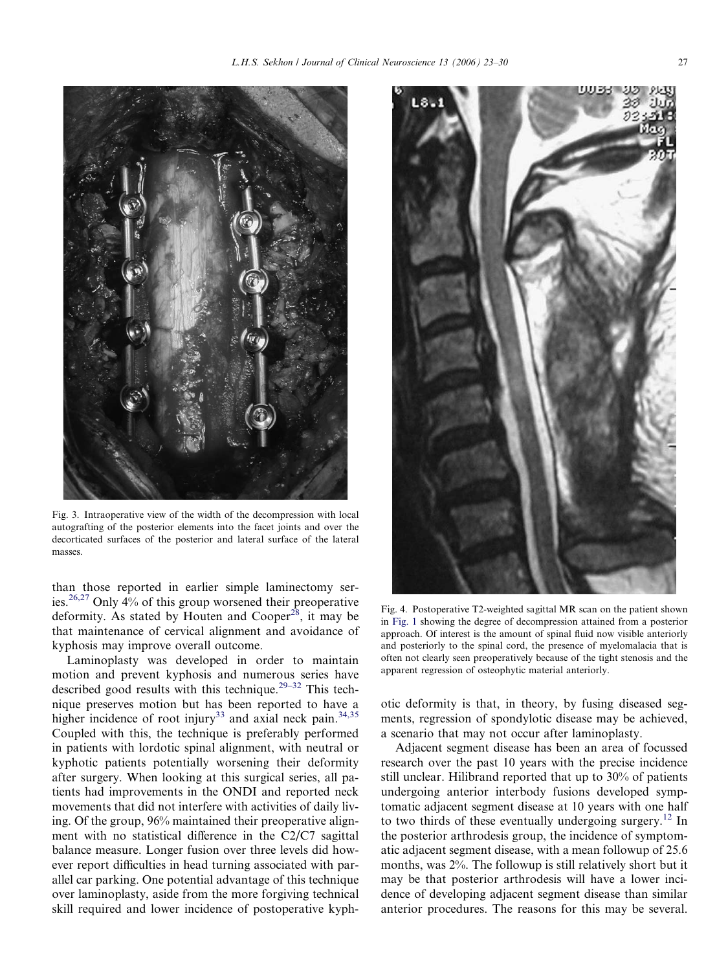<span id="page-4-0"></span>

Fig. 3. Intraoperative view of the width of the decompression with local autografting of the posterior elements into the facet joints and over the decorticated surfaces of the posterior and lateral surface of the lateral masses.

than those reported in earlier simple laminectomy ser-ies.<sup>[26,27](#page-7-0)</sup> Only  $4\%$  of this group worsened their preoperative deformity. As stated by Houten and Cooper<sup>[28](#page-7-0)</sup>, it may be that maintenance of cervical alignment and avoidance of kyphosis may improve overall outcome.

Laminoplasty was developed in order to maintain motion and prevent kyphosis and numerous series have described good results with this technique.<sup>29-32</sup> This technique preserves motion but has been reported to have a higher incidence of root injury<sup>[33](#page-7-0)</sup> and axial neck pain.<sup>[34,35](#page-7-0)</sup> Coupled with this, the technique is preferably performed in patients with lordotic spinal alignment, with neutral or kyphotic patients potentially worsening their deformity after surgery. When looking at this surgical series, all patients had improvements in the ONDI and reported neck movements that did not interfere with activities of daily living. Of the group, 96% maintained their preoperative alignment with no statistical difference in the C2/C7 sagittal balance measure. Longer fusion over three levels did however report difficulties in head turning associated with parallel car parking. One potential advantage of this technique over laminoplasty, aside from the more forgiving technical skill required and lower incidence of postoperative kyph-



Fig. 4. Postoperative T2-weighted sagittal MR scan on the patient shown in [Fig. 1](#page-2-0) showing the degree of decompression attained from a posterior approach. Of interest is the amount of spinal fluid now visible anteriorly and posteriorly to the spinal cord, the presence of myelomalacia that is often not clearly seen preoperatively because of the tight stenosis and the apparent regression of osteophytic material anteriorly.

otic deformity is that, in theory, by fusing diseased segments, regression of spondylotic disease may be achieved, a scenario that may not occur after laminoplasty.

Adjacent segment disease has been an area of focussed research over the past 10 years with the precise incidence still unclear. Hilibrand reported that up to 30% of patients undergoing anterior interbody fusions developed symptomatic adjacent segment disease at 10 years with one half to two thirds of these eventually undergoing surgery.<sup>[12](#page-6-0)</sup> In the posterior arthrodesis group, the incidence of symptomatic adjacent segment disease, with a mean followup of 25.6 months, was 2%. The followup is still relatively short but it may be that posterior arthrodesis will have a lower incidence of developing adjacent segment disease than similar anterior procedures. The reasons for this may be several.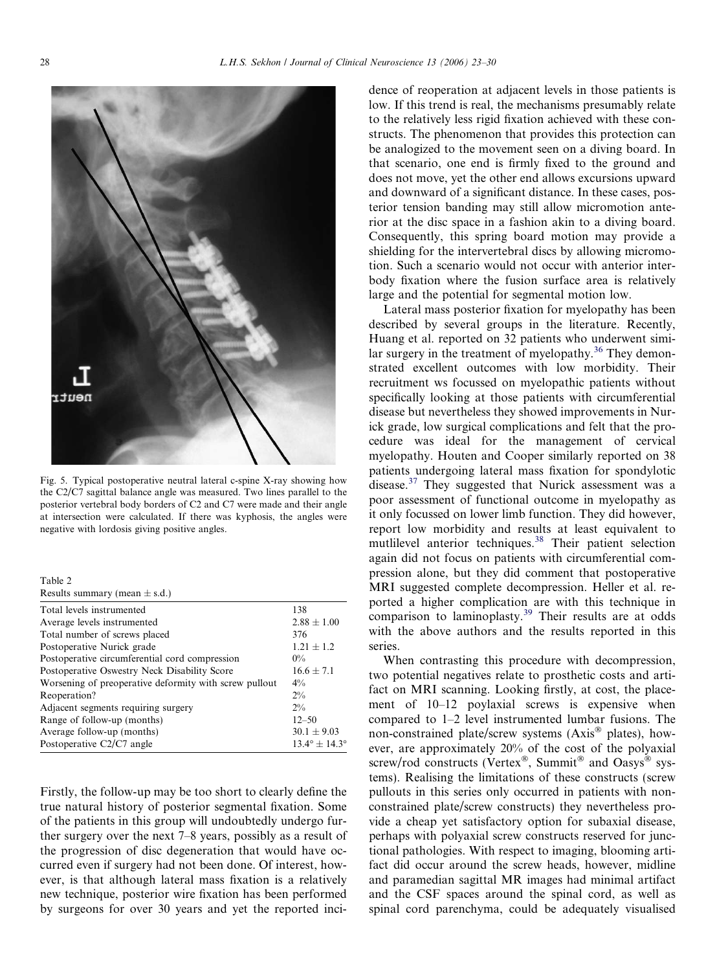<span id="page-5-0"></span>

Fig. 5. Typical postoperative neutral lateral c-spine X-ray showing how the C2/C7 sagittal balance angle was measured. Two lines parallel to the posterior vertebral body borders of C2 and C7 were made and their angle at intersection were calculated. If there was kyphosis, the angles were negative with lordosis giving positive angles.

| Table 2 |                                   |  |
|---------|-----------------------------------|--|
|         | Results summary (mean $\pm$ s.d.) |  |

| Total levels instrumented                              | 138                             |
|--------------------------------------------------------|---------------------------------|
| Average levels instrumented                            | $2.88 \pm 1.00$                 |
| Total number of screws placed                          | 376                             |
| Postoperative Nurick grade                             | $1.21 \pm 1.2$                  |
| Postoperative circumferential cord compression         | $0\%$                           |
| Postoperative Oswestry Neck Disability Score           | $16.6 + 7.1$                    |
| Worsening of preoperative deformity with screw pullout | $4\%$                           |
| Reoperation?                                           | $2\%$                           |
| Adjacent segments requiring surgery                    | $2\%$                           |
| Range of follow-up (months)                            | $12 - 50$                       |
| Average follow-up (months)                             | $30.1 \pm 9.03$                 |
| Postoperative C2/C7 angle                              | $13.4^{\circ} \pm 14.3^{\circ}$ |
|                                                        |                                 |

Firstly, the follow-up may be too short to clearly define the true natural history of posterior segmental fixation. Some of the patients in this group will undoubtedly undergo further surgery over the next 7–8 years, possibly as a result of the progression of disc degeneration that would have occurred even if surgery had not been done. Of interest, however, is that although lateral mass fixation is a relatively new technique, posterior wire fixation has been performed by surgeons for over 30 years and yet the reported incidence of reoperation at adjacent levels in those patients is low. If this trend is real, the mechanisms presumably relate to the relatively less rigid fixation achieved with these constructs. The phenomenon that provides this protection can be analogized to the movement seen on a diving board. In that scenario, one end is firmly fixed to the ground and does not move, yet the other end allows excursions upward and downward of a significant distance. In these cases, posterior tension banding may still allow micromotion anterior at the disc space in a fashion akin to a diving board. Consequently, this spring board motion may provide a shielding for the intervertebral discs by allowing micromotion. Such a scenario would not occur with anterior interbody fixation where the fusion surface area is relatively large and the potential for segmental motion low.

Lateral mass posterior fixation for myelopathy has been described by several groups in the literature. Recently, Huang et al. reported on 32 patients who underwent simi-lar surgery in the treatment of myelopathy.<sup>[36](#page-7-0)</sup> They demonstrated excellent outcomes with low morbidity. Their recruitment ws focussed on myelopathic patients without specifically looking at those patients with circumferential disease but nevertheless they showed improvements in Nurick grade, low surgical complications and felt that the procedure was ideal for the management of cervical myelopathy. Houten and Cooper similarly reported on 38 patients undergoing lateral mass fixation for spondylotic disease.[37](#page-7-0) They suggested that Nurick assessment was a poor assessment of functional outcome in myelopathy as it only focussed on lower limb function. They did however, report low morbidity and results at least equivalent to mutlilevel anterior techniques.<sup>[38](#page-7-0)</sup> Their patient selection again did not focus on patients with circumferential compression alone, but they did comment that postoperative MRI suggested complete decompression. Heller et al. reported a higher complication are with this technique in comparison to laminoplasty.<sup>[39](#page-7-0)</sup> Their results are at odds with the above authors and the results reported in this series.

When contrasting this procedure with decompression, two potential negatives relate to prosthetic costs and artifact on MRI scanning. Looking firstly, at cost, the placement of 10–12 poylaxial screws is expensive when compared to 1–2 level instrumented lumbar fusions. The non-constrained plate/screw systems  $(Axis^{\circledast})$  plates), however, are approximately 20% of the cost of the polyaxial screw/rod constructs (Vertex®, Summit<sup>®</sup> and Oasys® systems). Realising the limitations of these constructs (screw pullouts in this series only occurred in patients with nonconstrained plate/screw constructs) they nevertheless provide a cheap yet satisfactory option for subaxial disease, perhaps with polyaxial screw constructs reserved for junctional pathologies. With respect to imaging, blooming artifact did occur around the screw heads, however, midline and paramedian sagittal MR images had minimal artifact and the CSF spaces around the spinal cord, as well as spinal cord parenchyma, could be adequately visualised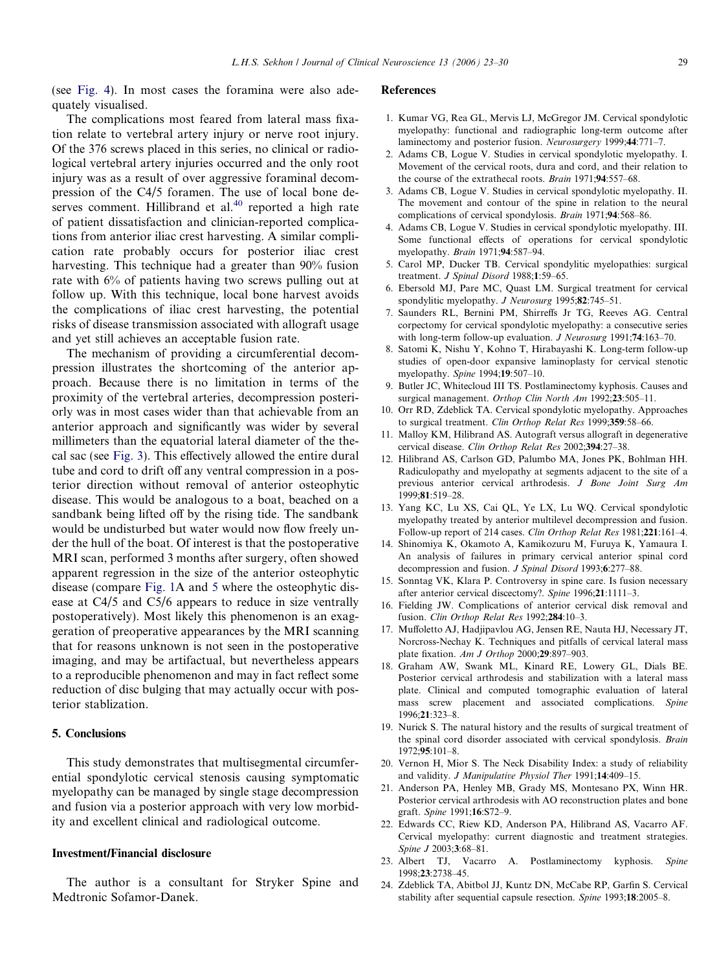<span id="page-6-0"></span>(see [Fig. 4](#page-4-0)). In most cases the foramina were also adequately visualised.

The complications most feared from lateral mass fixation relate to vertebral artery injury or nerve root injury. Of the 376 screws placed in this series, no clinical or radiological vertebral artery injuries occurred and the only root injury was as a result of over aggressive foraminal decompression of the C4/5 foramen. The use of local bone deserves comment. Hillibrand et al. $40$  reported a high rate of patient dissatisfaction and clinician-reported complications from anterior iliac crest harvesting. A similar complication rate probably occurs for posterior iliac crest harvesting. This technique had a greater than 90% fusion rate with 6% of patients having two screws pulling out at follow up. With this technique, local bone harvest avoids the complications of iliac crest harvesting, the potential risks of disease transmission associated with allograft usage and yet still achieves an acceptable fusion rate.

The mechanism of providing a circumferential decompression illustrates the shortcoming of the anterior approach. Because there is no limitation in terms of the proximity of the vertebral arteries, decompression posteriorly was in most cases wider than that achievable from an anterior approach and significantly was wider by several millimeters than the equatorial lateral diameter of the thecal sac (see [Fig. 3](#page-4-0)). This effectively allowed the entire dural tube and cord to drift off any ventral compression in a posterior direction without removal of anterior osteophytic disease. This would be analogous to a boat, beached on a sandbank being lifted off by the rising tide. The sandbank would be undisturbed but water would now flow freely under the hull of the boat. Of interest is that the postoperative MRI scan, performed 3 months after surgery, often showed apparent regression in the size of the anterior osteophytic disease (compare [Fig. 1A](#page-2-0) and [5](#page-5-0) where the osteophytic disease at C4/5 and C5/6 appears to reduce in size ventrally postoperatively). Most likely this phenomenon is an exaggeration of preoperative appearances by the MRI scanning that for reasons unknown is not seen in the postoperative imaging, and may be artifactual, but nevertheless appears to a reproducible phenomenon and may in fact reflect some reduction of disc bulging that may actually occur with posterior stablization.

### 5. Conclusions

This study demonstrates that multisegmental circumferential spondylotic cervical stenosis causing symptomatic myelopathy can be managed by single stage decompression and fusion via a posterior approach with very low morbidity and excellent clinical and radiological outcome.

## Investment/Financial disclosure

The author is a consultant for Stryker Spine and Medtronic Sofamor-Danek.

#### References

- 1. Kumar VG, Rea GL, Mervis LJ, McGregor JM. Cervical spondylotic myelopathy: functional and radiographic long-term outcome after laminectomy and posterior fusion. Neurosurgery 1999;44:771–7.
- 2. Adams CB, Logue V. Studies in cervical spondylotic myelopathy. I. Movement of the cervical roots, dura and cord, and their relation to the course of the extrathecal roots. Brain 1971;94:557–68.
- 3. Adams CB, Logue V. Studies in cervical spondylotic myelopathy. II. The movement and contour of the spine in relation to the neural complications of cervical spondylosis. Brain 1971;94:568–86.
- 4. Adams CB, Logue V. Studies in cervical spondylotic myelopathy. III. Some functional effects of operations for cervical spondylotic myelopathy. Brain 1971;94:587–94.
- 5. Carol MP, Ducker TB. Cervical spondylitic myelopathies: surgical treatment. J Spinal Disord 1988;1:59-65.
- 6. Ebersold MJ, Pare MC, Quast LM. Surgical treatment for cervical spondylitic myelopathy. J Neurosurg 1995;82:745-51.
- 7. Saunders RL, Bernini PM, Shirreffs Jr TG, Reeves AG. Central corpectomy for cervical spondylotic myelopathy: a consecutive series with long-term follow-up evaluation. *J Neurosurg* 1991:**74**:163-70.
- 8. Satomi K, Nishu Y, Kohno T, Hirabayashi K. Long-term follow-up studies of open-door expansive laminoplasty for cervical stenotic myelopathy. Spine 1994;19:507–10.
- 9. Butler JC, Whitecloud III TS. Postlaminectomy kyphosis. Causes and surgical management. Orthop Clin North Am 1992;23:505-11.
- 10. Orr RD, Zdeblick TA. Cervical spondylotic myelopathy. Approaches to surgical treatment. Clin Orthop Relat Res 1999;359:58–66.
- 11. Malloy KM, Hilibrand AS. Autograft versus allograft in degenerative cervical disease. Clin Orthop Relat Res 2002;394:27–38.
- 12. Hilibrand AS, Carlson GD, Palumbo MA, Jones PK, Bohlman HH. Radiculopathy and myelopathy at segments adjacent to the site of a previous anterior cervical arthrodesis. J Bone Joint Surg Am 1999;81:519–28.
- 13. Yang KC, Lu XS, Cai QL, Ye LX, Lu WQ. Cervical spondylotic myelopathy treated by anterior multilevel decompression and fusion. Follow-up report of 214 cases. Clin Orthop Relat Res 1981;221:161–4.
- 14. Shinomiya K, Okamoto A, Kamikozuru M, Furuya K, Yamaura I. An analysis of failures in primary cervical anterior spinal cord decompression and fusion. J Spinal Disord 1993;6:277-88.
- 15. Sonntag VK, Klara P. Controversy in spine care. Is fusion necessary after anterior cervical discectomy?. Spine 1996;21:1111–3.
- 16. Fielding JW. Complications of anterior cervical disk removal and fusion. Clin Orthop Relat Res 1992;284:10-3.
- 17. Muffoletto AJ, Hadjipavlou AG, Jensen RE, Nauta HJ, Necessary JT, Norcross-Nechay K. Techniques and pitfalls of cervical lateral mass plate fixation. Am J Orthop 2000;29:897–903.
- 18. Graham AW, Swank ML, Kinard RE, Lowery GL, Dials BE. Posterior cervical arthrodesis and stabilization with a lateral mass plate. Clinical and computed tomographic evaluation of lateral mass screw placement and associated complications. Spine 1996;21:323–8.
- 19. Nurick S. The natural history and the results of surgical treatment of the spinal cord disorder associated with cervical spondylosis. Brain 1972;95:101–8.
- 20. Vernon H, Mior S. The Neck Disability Index: a study of reliability and validity. J Manipulative Physiol Ther 1991;14:409-15.
- 21. Anderson PA, Henley MB, Grady MS, Montesano PX, Winn HR. Posterior cervical arthrodesis with AO reconstruction plates and bone graft. Spine 1991;16:S72–9.
- 22. Edwards CC, Riew KD, Anderson PA, Hilibrand AS, Vacarro AF. Cervical myelopathy: current diagnostic and treatment strategies. Spine J 2003;3:68–81.
- 23. Albert TJ, Vacarro A. Postlaminectomy kyphosis. Spine 1998;23:2738–45.
- 24. Zdeblick TA, Abitbol JJ, Kuntz DN, McCabe RP, Garfin S. Cervical stability after sequential capsule resection. Spine 1993;18:2005–8.